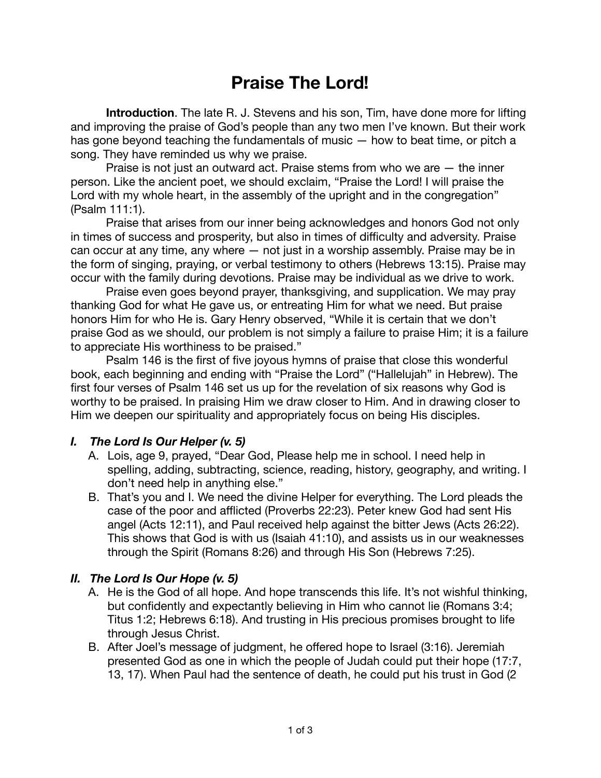# **Praise The Lord!**

**Introduction**. The late R. J. Stevens and his son, Tim, have done more for lifting and improving the praise of God's people than any two men I've known. But their work has gone beyond teaching the fundamentals of music — how to beat time, or pitch a song. They have reminded us why we praise.

Praise is not just an outward act. Praise stems from who we are — the inner person. Like the ancient poet, we should exclaim, "Praise the Lord! I will praise the Lord with my whole heart, in the assembly of the upright and in the congregation" (Psalm 111:1).

Praise that arises from our inner being acknowledges and honors God not only in times of success and prosperity, but also in times of difficulty and adversity. Praise can occur at any time, any where — not just in a worship assembly. Praise may be in the form of singing, praying, or verbal testimony to others (Hebrews 13:15). Praise may occur with the family during devotions. Praise may be individual as we drive to work.

Praise even goes beyond prayer, thanksgiving, and supplication. We may pray thanking God for what He gave us, or entreating Him for what we need. But praise honors Him for who He is. Gary Henry observed, "While it is certain that we don't praise God as we should, our problem is not simply a failure to praise Him; it is a failure to appreciate His worthiness to be praised."

Psalm 146 is the first of five joyous hymns of praise that close this wonderful book, each beginning and ending with "Praise the Lord" ("Hallelujah" in Hebrew). The first four verses of Psalm 146 set us up for the revelation of six reasons why God is worthy to be praised. In praising Him we draw closer to Him. And in drawing closer to Him we deepen our spirituality and appropriately focus on being His disciples.

#### *I. The Lord Is Our Helper (v. 5)*

- A. Lois, age 9, prayed, "Dear God, Please help me in school. I need help in spelling, adding, subtracting, science, reading, history, geography, and writing. I don't need help in anything else."
- B. That's you and I. We need the divine Helper for everything. The Lord pleads the case of the poor and afflicted (Proverbs 22:23). Peter knew God had sent His angel (Acts 12:11), and Paul received help against the bitter Jews (Acts 26:22). This shows that God is with us (Isaiah 41:10), and assists us in our weaknesses through the Spirit (Romans 8:26) and through His Son (Hebrews 7:25).

#### *II. The Lord Is Our Hope (v. 5)*

- A. He is the God of all hope. And hope transcends this life. It's not wishful thinking, but confidently and expectantly believing in Him who cannot lie (Romans 3:4; Titus 1:2; Hebrews 6:18). And trusting in His precious promises brought to life through Jesus Christ.
- B. After Joel's message of judgment, he offered hope to Israel (3:16). Jeremiah presented God as one in which the people of Judah could put their hope (17:7, 13, 17). When Paul had the sentence of death, he could put his trust in God (2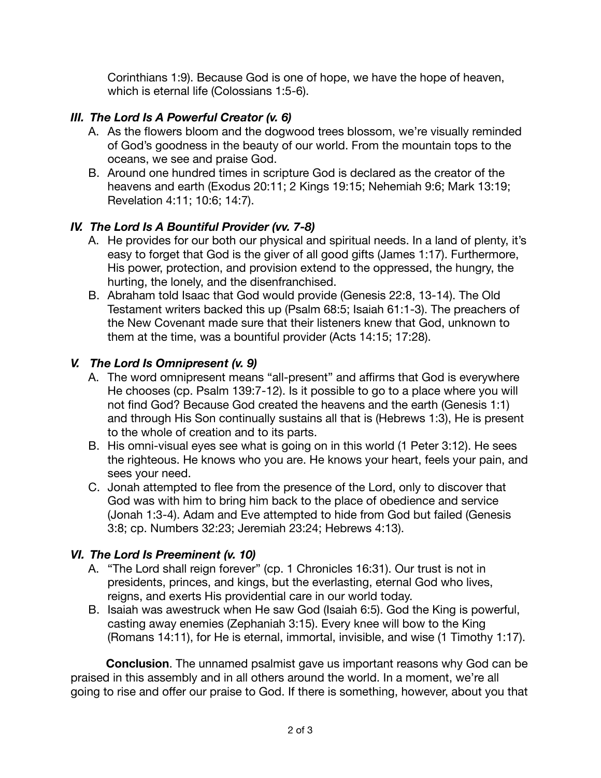Corinthians 1:9). Because God is one of hope, we have the hope of heaven, which is eternal life (Colossians 1:5-6).

## *III. The Lord Is A Powerful Creator (v. 6)*

- A. As the flowers bloom and the dogwood trees blossom, we're visually reminded of God's goodness in the beauty of our world. From the mountain tops to the oceans, we see and praise God.
- B. Around one hundred times in scripture God is declared as the creator of the heavens and earth (Exodus 20:11; 2 Kings 19:15; Nehemiah 9:6; Mark 13:19; Revelation 4:11; 10:6; 14:7).

### *IV. The Lord Is A Bountiful Provider (vv. 7-8)*

- A. He provides for our both our physical and spiritual needs. In a land of plenty, it's easy to forget that God is the giver of all good gifts (James 1:17). Furthermore, His power, protection, and provision extend to the oppressed, the hungry, the hurting, the lonely, and the disenfranchised.
- B. Abraham told Isaac that God would provide (Genesis 22:8, 13-14). The Old Testament writers backed this up (Psalm 68:5; Isaiah 61:1-3). The preachers of the New Covenant made sure that their listeners knew that God, unknown to them at the time, was a bountiful provider (Acts 14:15; 17:28).

### *V. The Lord Is Omnipresent (v. 9)*

- A. The word omnipresent means "all-present" and affirms that God is everywhere He chooses (cp. Psalm 139:7-12). Is it possible to go to a place where you will not find God? Because God created the heavens and the earth (Genesis 1:1) and through His Son continually sustains all that is (Hebrews 1:3), He is present to the whole of creation and to its parts.
- B. His omni-visual eyes see what is going on in this world (1 Peter 3:12). He sees the righteous. He knows who you are. He knows your heart, feels your pain, and sees your need.
- C. Jonah attempted to flee from the presence of the Lord, only to discover that God was with him to bring him back to the place of obedience and service (Jonah 1:3-4). Adam and Eve attempted to hide from God but failed (Genesis 3:8; cp. Numbers 32:23; Jeremiah 23:24; Hebrews 4:13).

### *VI. The Lord Is Preeminent (v. 10)*

- A. "The Lord shall reign forever" (cp. 1 Chronicles 16:31). Our trust is not in presidents, princes, and kings, but the everlasting, eternal God who lives, reigns, and exerts His providential care in our world today.
- B. Isaiah was awestruck when He saw God (Isaiah 6:5). God the King is powerful, casting away enemies (Zephaniah 3:15). Every knee will bow to the King (Romans 14:11), for He is eternal, immortal, invisible, and wise (1 Timothy 1:17).

**Conclusion**. The unnamed psalmist gave us important reasons why God can be praised in this assembly and in all others around the world. In a moment, we're all going to rise and offer our praise to God. If there is something, however, about you that